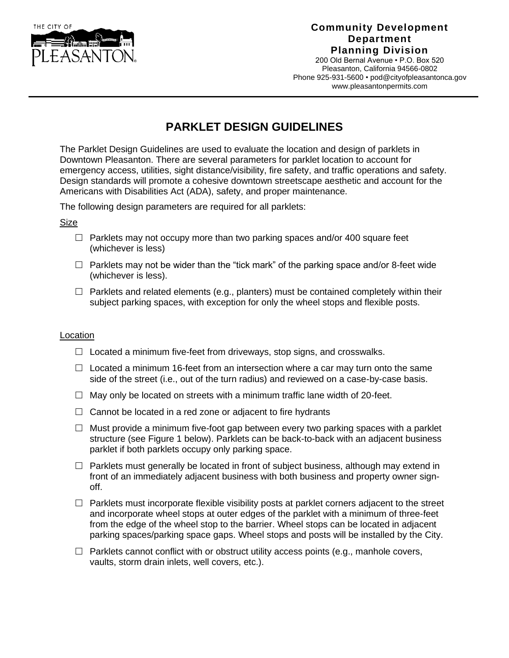

## **Community Development Department Planning Division**

200 Old Bernal Avenue • P.O. Box 520 Pleasanton, California 94566-0802 Phone 925-931-5600 [• pod@cityofpleasantonca.gov](mailto:pod@cityofpleasantonca.gov) www.pleasantonpermits.com

# **PARKLET DESIGN GUIDELINES**

The Parklet Design Guidelines are used to evaluate the location and design of parklets in Downtown Pleasanton. There are several parameters for parklet location to account for emergency access, utilities, sight distance/visibility, fire safety, and traffic operations and safety. Design standards will promote a cohesive downtown streetscape aesthetic and account for the Americans with Disabilities Act (ADA), safety, and proper maintenance.

The following design parameters are required for all parklets:

### Size

- $\Box$  Parklets may not occupy more than two parking spaces and/or 400 square feet (whichever is less)
- $\Box$  Parklets may not be wider than the "tick mark" of the parking space and/or 8-feet wide (whichever is less).
- $\Box$  Parklets and related elements (e.g., planters) must be contained completely within their subject parking spaces, with exception for only the wheel stops and flexible posts.

### Location

- $\Box$  Located a minimum five-feet from driveways, stop signs, and crosswalks.
- $\Box$  Located a minimum 16-feet from an intersection where a car may turn onto the same side of the street (i.e., out of the turn radius) and reviewed on a case-by-case basis.
- $\Box$  May only be located on streets with a minimum traffic lane width of 20-feet.
- $\Box$  Cannot be located in a red zone or adjacent to fire hydrants
- $\Box$  Must provide a minimum five-foot gap between every two parking spaces with a parklet structure (see Figure 1 below). Parklets can be back-to-back with an adjacent business parklet if both parklets occupy only parking space.
- $\Box$  Parklets must generally be located in front of subject business, although may extend in front of an immediately adjacent business with both business and property owner signoff.
- $\Box$  Parklets must incorporate flexible visibility posts at parklet corners adjacent to the street and incorporate wheel stops at outer edges of the parklet with a minimum of three-feet from the edge of the wheel stop to the barrier. Wheel stops can be located in adjacent parking spaces/parking space gaps. Wheel stops and posts will be installed by the City.
- $\Box$  Parklets cannot conflict with or obstruct utility access points (e.g., manhole covers, vaults, storm drain inlets, well covers, etc.).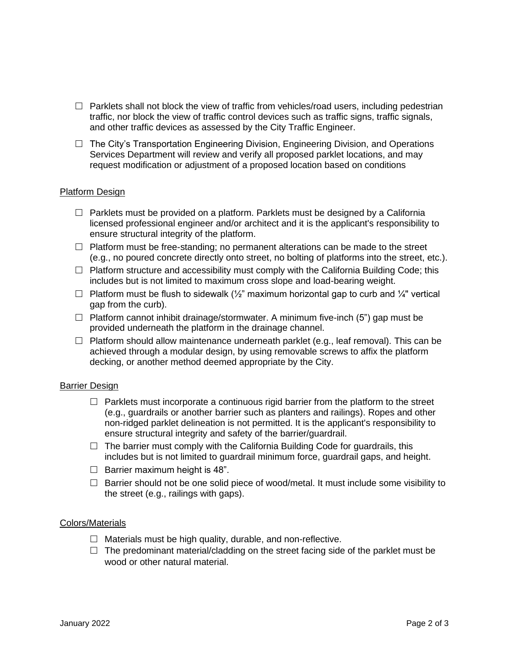- $\Box$  Parklets shall not block the view of traffic from vehicles/road users, including pedestrian traffic, nor block the view of traffic control devices such as traffic signs, traffic signals, and other traffic devices as assessed by the City Traffic Engineer.
- $\Box$  The City's Transportation Engineering Division, Engineering Division, and Operations Services Department will review and verify all proposed parklet locations, and may request modification or adjustment of a proposed location based on conditions

### Platform Design

- $\Box$  Parklets must be provided on a platform. Parklets must be designed by a California licensed professional engineer and/or architect and it is the applicant's responsibility to ensure structural integrity of the platform.
- $\Box$  Platform must be free-standing; no permanent alterations can be made to the street (e.g., no poured concrete directly onto street, no bolting of platforms into the street, etc.).
- $\Box$  Platform structure and accessibility must comply with the California Building Code; this includes but is not limited to maximum cross slope and load-bearing weight.
- $\Box$  Platform must be flush to sidewalk ( $\frac{1}{2}$ " maximum horizontal gap to curb and  $\frac{1}{4}$ " vertical gap from the curb).
- $\Box$  Platform cannot inhibit drainage/stormwater. A minimum five-inch (5") gap must be provided underneath the platform in the drainage channel.
- $\Box$  Platform should allow maintenance underneath parklet (e.g., leaf removal). This can be achieved through a modular design, by using removable screws to affix the platform decking, or another method deemed appropriate by the City.

### Barrier Design

- $\Box$  Parklets must incorporate a continuous rigid barrier from the platform to the street (e.g., guardrails or another barrier such as planters and railings). Ropes and other non-ridged parklet delineation is not permitted. It is the applicant's responsibility to ensure structural integrity and safety of the barrier/guardrail.
- $\Box$  The barrier must comply with the California Building Code for guardrails, this includes but is not limited to guardrail minimum force, guardrail gaps, and height.
- $\Box$  Barrier maximum height is 48".
- $\Box$  Barrier should not be one solid piece of wood/metal. It must include some visibility to the street (e.g., railings with gaps).

### Colors/Materials

- $\Box$  Materials must be high quality, durable, and non-reflective.
- $\Box$  The predominant material/cladding on the street facing side of the parklet must be wood or other natural material.